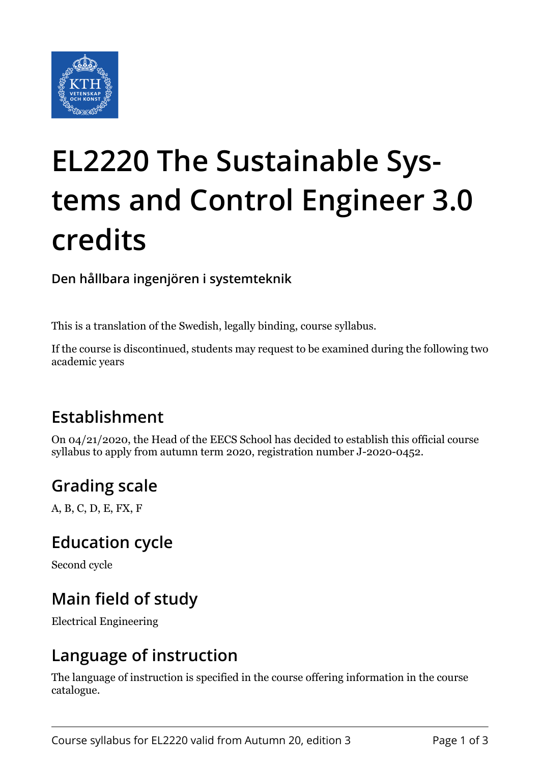

# **EL2220 The Sustainable Systems and Control Engineer 3.0 credits**

**Den hållbara ingenjören i systemteknik**

This is a translation of the Swedish, legally binding, course syllabus.

If the course is discontinued, students may request to be examined during the following two academic years

## **Establishment**

On 04/21/2020, the Head of the EECS School has decided to establish this official course syllabus to apply from autumn term 2020, registration number J-2020-0452.

## **Grading scale**

A, B, C, D, E, FX, F

#### **Education cycle**

Second cycle

## **Main field of study**

Electrical Engineering

## **Language of instruction**

The language of instruction is specified in the course offering information in the course catalogue.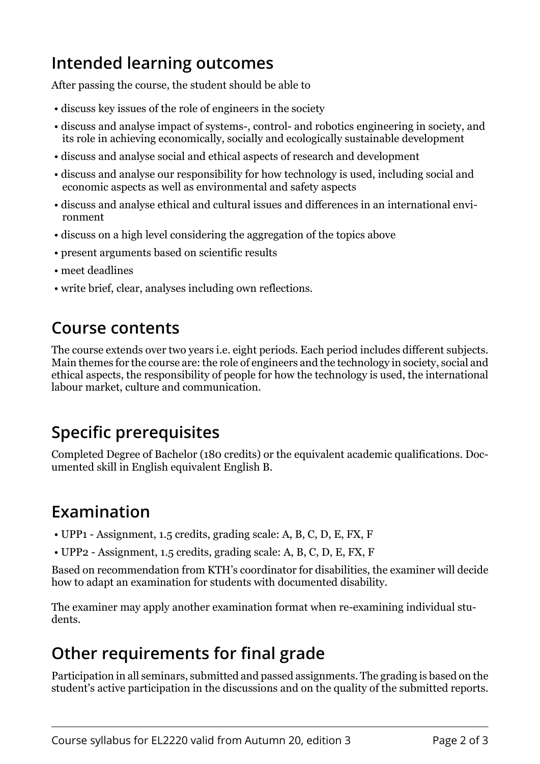## **Intended learning outcomes**

After passing the course, the student should be able to

- discuss key issues of the role of engineers in the society
- discuss and analyse impact of systems-, control- and robotics engineering in society, and its role in achieving economically, socially and ecologically sustainable development
- discuss and analyse social and ethical aspects of research and development
- discuss and analyse our responsibility for how technology is used, including social and economic aspects as well as environmental and safety aspects
- discuss and analyse ethical and cultural issues and differences in an international environment
- discuss on a high level considering the aggregation of the topics above
- present arguments based on scientific results
- meet deadlines
- write brief, clear, analyses including own reflections.

#### **Course contents**

The course extends over two years i.e. eight periods. Each period includes different subjects. Main themes for the course are: the role of engineers and the technology in society, social and ethical aspects, the responsibility of people for how the technology is used, the international labour market, culture and communication.

## **Specific prerequisites**

Completed Degree of Bachelor (180 credits) or the equivalent academic qualifications. Documented skill in English equivalent English B.

#### **Examination**

- UPP1 Assignment, 1.5 credits, grading scale: A, B, C, D, E, FX, F
- UPP2 Assignment, 1.5 credits, grading scale: A, B, C, D, E, FX, F

Based on recommendation from KTH's coordinator for disabilities, the examiner will decide how to adapt an examination for students with documented disability.

The examiner may apply another examination format when re-examining individual students.

## **Other requirements for final grade**

Participation in all seminars, submitted and passed assignments. The grading is based on the student's active participation in the discussions and on the quality of the submitted reports.